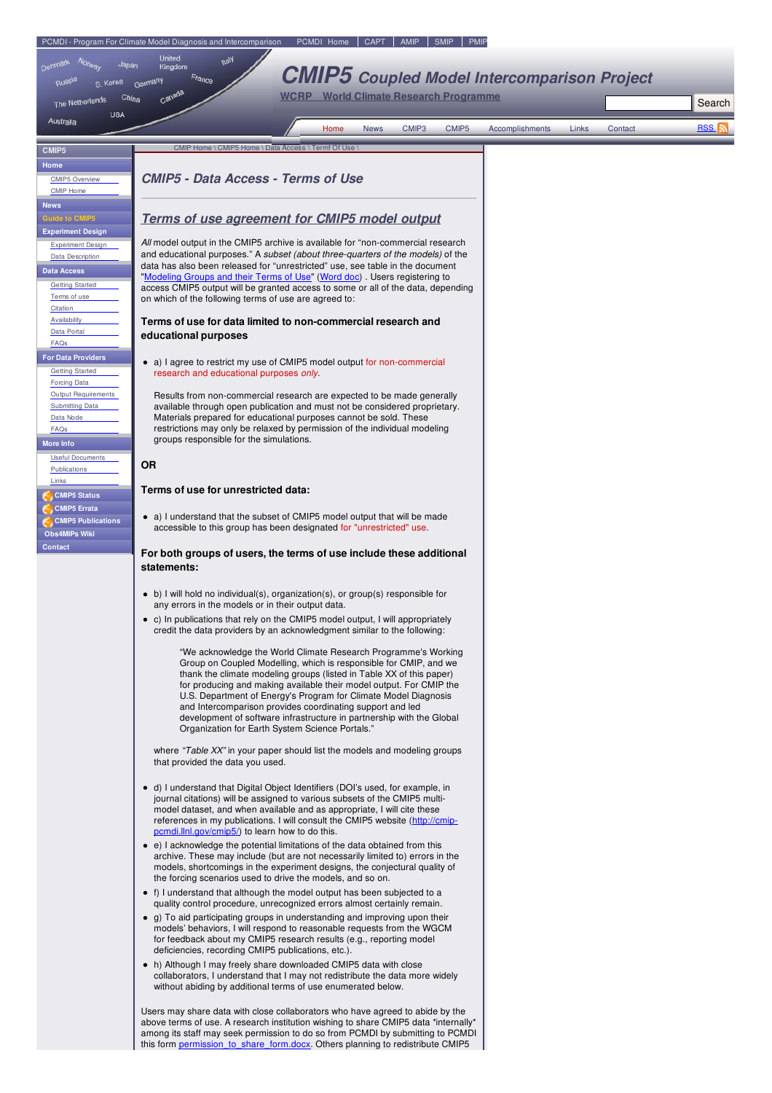<span id="page-0-0"></span>

| CMIP <sub>5</sub>                                                                                                        | CIVIIL LOILIE / CIVIILO LOILIE / DATA ACCESS / FEITHEOLOSE                                                                                                                                                                                                                                                                                                                                                                                                                                                                                     |
|--------------------------------------------------------------------------------------------------------------------------|------------------------------------------------------------------------------------------------------------------------------------------------------------------------------------------------------------------------------------------------------------------------------------------------------------------------------------------------------------------------------------------------------------------------------------------------------------------------------------------------------------------------------------------------|
| Home<br><b>CMIP5 Overview</b><br><b>CMIP Home</b>                                                                        | <b>CMIP5 - Data Access - Terms of Use</b>                                                                                                                                                                                                                                                                                                                                                                                                                                                                                                      |
| <b>News</b><br><b>Guide to CMIP5</b><br><b>Experiment Design</b>                                                         | <b>Terms of use agreement for CMIP5 model output</b>                                                                                                                                                                                                                                                                                                                                                                                                                                                                                           |
| <b>Experiment Design</b><br>Data Description<br><b>Data Access</b><br><b>Getting Started</b><br>Terms of use<br>Citation | All model output in the CMIP5 archive is available for "non-commercial research"<br>and educational purposes." A subset (about three-quarters of the models) of the<br>data has also been released for "unrestricted" use, see table in the document<br>"Modeling Groups and their Terms of Use" (Word doc). Users registering to<br>access CMIP5 output will be granted access to some or all of the data, depending<br>on which of the following terms of use are agreed to:                                                                 |
| Availability<br>Data Portal<br>FAQs                                                                                      | Terms of use for data limited to non-commercial research and<br>educational purposes                                                                                                                                                                                                                                                                                                                                                                                                                                                           |
| <b>For Data Providers</b><br><b>Getting Started</b><br>Forcing Data                                                      | a) I agree to restrict my use of CMIP5 model output for non-commercial<br>research and educational purposes only.                                                                                                                                                                                                                                                                                                                                                                                                                              |
| Output Requirements<br><b>Submitting Data</b><br>Data Node<br>FAQs<br><b>More Info</b>                                   | Results from non-commercial research are expected to be made generally<br>available through open publication and must not be considered proprietary.<br>Materials prepared for educational purposes cannot be sold. These<br>restrictions may only be relaxed by permission of the individual modeling<br>groups responsible for the simulations.                                                                                                                                                                                              |
| <b>Useful Documents</b><br>Publications                                                                                  | <b>OR</b>                                                                                                                                                                                                                                                                                                                                                                                                                                                                                                                                      |
| Links<br><b>CMIP5 Status</b><br><b>CMIP5</b> Errata                                                                      | Terms of use for unrestricted data:                                                                                                                                                                                                                                                                                                                                                                                                                                                                                                            |
| <b>CMIP5 Publications</b><br><b>Obs4MIPs Wiki</b>                                                                        | • a) I understand that the subset of CMIP5 model output that will be made<br>accessible to this group has been designated for "unrestricted" use.                                                                                                                                                                                                                                                                                                                                                                                              |
| <b>Contact</b>                                                                                                           | For both groups of users, the terms of use include these additional<br>statements:                                                                                                                                                                                                                                                                                                                                                                                                                                                             |
|                                                                                                                          | • b) I will hold no individual(s), organization(s), or group(s) responsible for<br>any errors in the models or in their output data.                                                                                                                                                                                                                                                                                                                                                                                                           |
|                                                                                                                          | • c) In publications that rely on the CMIP5 model output, I will appropriately<br>credit the data providers by an acknowledgment similar to the following:                                                                                                                                                                                                                                                                                                                                                                                     |
|                                                                                                                          | "We acknowledge the World Climate Research Programme's Working<br>Group on Coupled Modelling, which is responsible for CMIP, and we<br>thank the climate modeling groups (listed in Table XX of this paper)<br>for producing and making available their model output. For CMIP the<br>U.S. Department of Energy's Program for Climate Model Diagnosis<br>and Intercomparison provides coordinating support and led<br>development of software infrastructure in partnership with the Global<br>Organization for Earth System Science Portals." |
|                                                                                                                          | where "Table XX" in your paper should list the models and modeling groups<br>that provided the data you used.                                                                                                                                                                                                                                                                                                                                                                                                                                  |
|                                                                                                                          | • d) I understand that Digital Object Identifiers (DOI's used, for example, in<br>journal citations) will be assigned to various subsets of the CMIP5 multi-<br>model dataset, and when available and as appropriate, I will cite these<br>references in my publications. I will consult the CMIP5 website (http://cmip-<br>pcmdi.llnl.gov/cmip5/) to learn how to do this.                                                                                                                                                                    |
|                                                                                                                          | • e) I acknowledge the potential limitations of the data obtained from this<br>archive. These may include (but are not necessarily limited to) errors in the<br>models, shortcomings in the experiment designs, the conjectural quality of<br>the forcing scenarios used to drive the models, and so on.                                                                                                                                                                                                                                       |
|                                                                                                                          | • f) I understand that although the model output has been subjected to a<br>quality control procedure, unrecognized errors almost certainly remain.<br>• g) To aid participating groups in understanding and improving upon their<br>models' behaviors, I will respond to reasonable requests from the WGCM<br>for feedback about my CMIP5 research results (e.g., reporting model<br>deficiencies, recording CMIP5 publications, etc.).<br>• h) Although I may freely share downloaded CMIP5 data with close                                  |
|                                                                                                                          | collaborators, I understand that I may not redistribute the data more widely<br>without abiding by additional terms of use enumerated below.<br>Users may share data with close collaborators who have agreed to abide by the<br>above terms of use. A research institution wishing to share CMIP5 data *internally*<br>among its staff may seek permission to do so from PCMDI by submitting to PCMDI<br>this form permission to share form docx. Others planning to redistribute CMIP5                                                       |